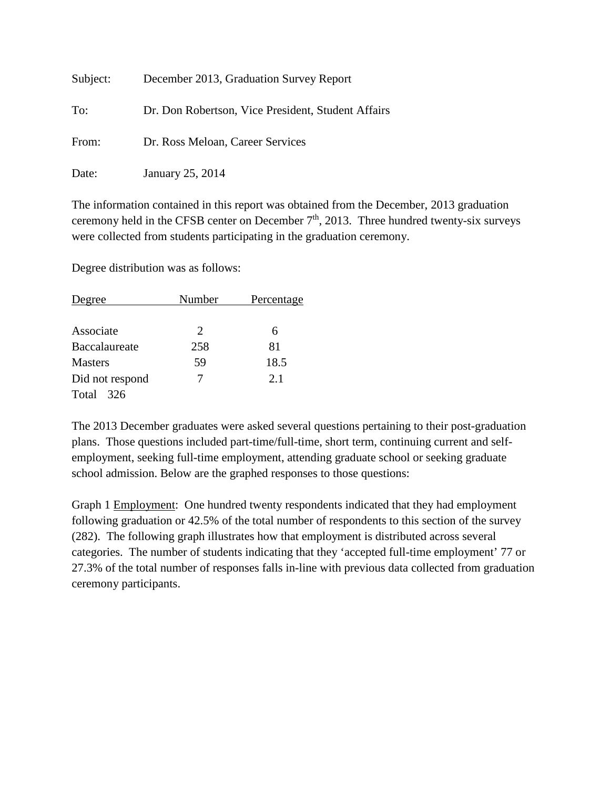| Subject: | December 2013, Graduation Survey Report            |
|----------|----------------------------------------------------|
| To:      | Dr. Don Robertson, Vice President, Student Affairs |
| From:    | Dr. Ross Meloan, Career Services                   |
| Date:    | January 25, 2014                                   |

The information contained in this report was obtained from the December, 2013 graduation ceremony held in the CFSB center on December  $7<sup>th</sup>$ , 2013. Three hundred twenty-six surveys were collected from students participating in the graduation ceremony.

Degree distribution was as follows:

| Degree          | Number                      | Percentage |
|-----------------|-----------------------------|------------|
|                 |                             |            |
| Associate       | $\mathcal{D}_{\mathcal{L}}$ | 6          |
| Baccalaureate   | 258                         | 81         |
| <b>Masters</b>  | 59                          | 18.5       |
| Did not respond |                             | 2.1        |
| Total<br>326    |                             |            |

The 2013 December graduates were asked several questions pertaining to their post-graduation plans. Those questions included part-time/full-time, short term, continuing current and selfemployment, seeking full-time employment, attending graduate school or seeking graduate school admission. Below are the graphed responses to those questions:

Graph 1 Employment: One hundred twenty respondents indicated that they had employment following graduation or 42.5% of the total number of respondents to this section of the survey (282). The following graph illustrates how that employment is distributed across several categories. The number of students indicating that they 'accepted full-time employment' 77 or 27.3% of the total number of responses falls in-line with previous data collected from graduation ceremony participants.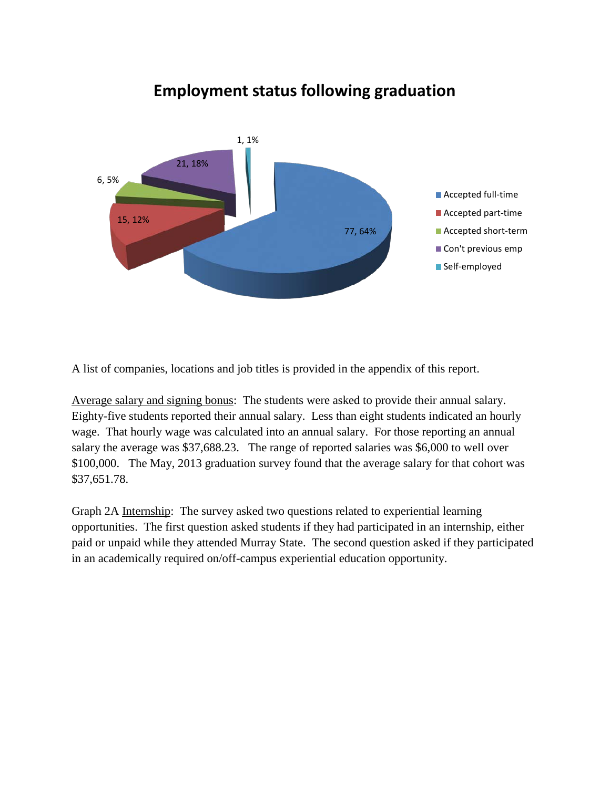

## **Employment status following graduation**

A list of companies, locations and job titles is provided in the appendix of this report.

Average salary and signing bonus: The students were asked to provide their annual salary. Eighty-five students reported their annual salary. Less than eight students indicated an hourly wage. That hourly wage was calculated into an annual salary. For those reporting an annual salary the average was \$37,688.23. The range of reported salaries was \$6,000 to well over \$100,000. The May, 2013 graduation survey found that the average salary for that cohort was \$37,651.78.

Graph 2A Internship: The survey asked two questions related to experiential learning opportunities. The first question asked students if they had participated in an internship, either paid or unpaid while they attended Murray State. The second question asked if they participated in an academically required on/off-campus experiential education opportunity.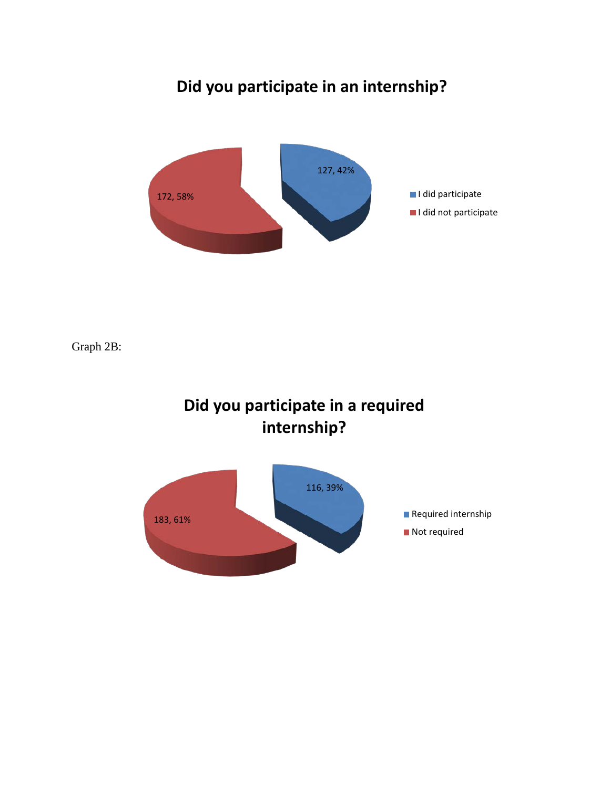## **Did you participate in an internship?**



Graph 2B:



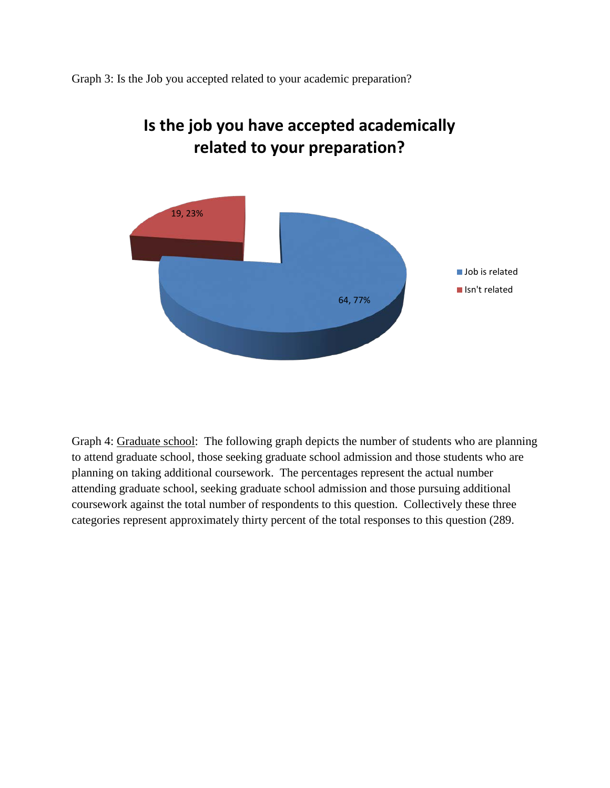Graph 3: Is the Job you accepted related to your academic preparation?



## **Is the job you have accepted academically related to your preparation?**

Graph 4: Graduate school: The following graph depicts the number of students who are planning to attend graduate school, those seeking graduate school admission and those students who are planning on taking additional coursework. The percentages represent the actual number attending graduate school, seeking graduate school admission and those pursuing additional coursework against the total number of respondents to this question. Collectively these three categories represent approximately thirty percent of the total responses to this question (289.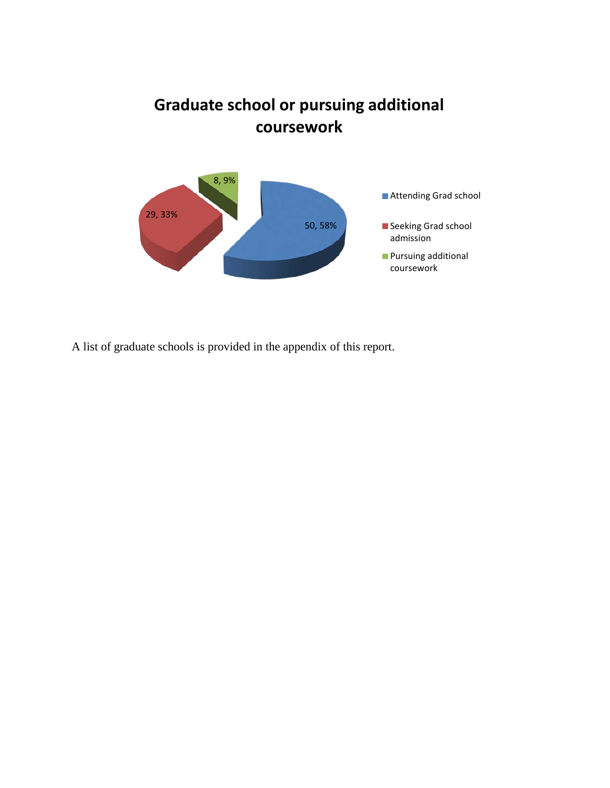



A list of graduate schools is provided in the appendix of this report.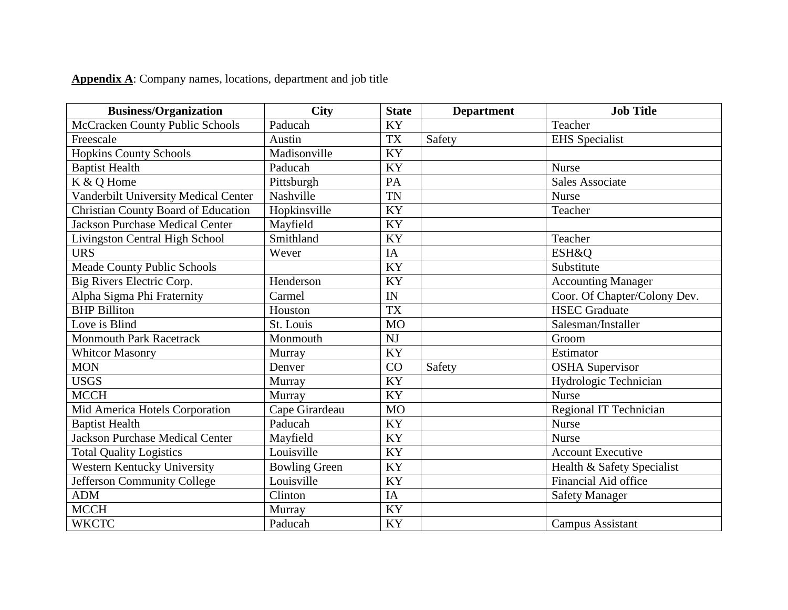## **Appendix A**: Company names, locations, department and job title

| <b>Business/Organization</b>               | <b>City</b>          | <b>State</b>    | <b>Department</b> | <b>Job Title</b>             |
|--------------------------------------------|----------------------|-----------------|-------------------|------------------------------|
| McCracken County Public Schools            | Paducah              | <b>KY</b>       |                   | Teacher                      |
| Freescale                                  | Austin               | <b>TX</b>       | Safety            | <b>EHS</b> Specialist        |
| <b>Hopkins County Schools</b>              | Madisonville         | KY              |                   |                              |
| <b>Baptist Health</b>                      | Paducah              | KY              |                   | <b>Nurse</b>                 |
| K & Q Home                                 | Pittsburgh           | PA              |                   | <b>Sales Associate</b>       |
| Vanderbilt University Medical Center       | Nashville            | <b>TN</b>       |                   | <b>Nurse</b>                 |
| <b>Christian County Board of Education</b> | Hopkinsville         | KY              |                   | Teacher                      |
| <b>Jackson Purchase Medical Center</b>     | Mayfield             | KY              |                   |                              |
| Livingston Central High School             | Smithland            | KY              |                   | Teacher                      |
| <b>URS</b>                                 | Wever                | IA              |                   | ESH&O                        |
| Meade County Public Schools                |                      | $\overline{KY}$ |                   | Substitute                   |
| Big Rivers Electric Corp.                  | Henderson            | KY              |                   | <b>Accounting Manager</b>    |
| Alpha Sigma Phi Fraternity                 | Carmel               | IN              |                   | Coor. Of Chapter/Colony Dev. |
| <b>BHP Billiton</b>                        | Houston              | <b>TX</b>       |                   | <b>HSEC</b> Graduate         |
| Love is Blind                              | St. Louis            | <b>MO</b>       |                   | Salesman/Installer           |
| <b>Monmouth Park Racetrack</b>             | Monmouth             | NJ              |                   | Groom                        |
| <b>Whitcor Masonry</b>                     | Murray               | <b>KY</b>       |                   | Estimator                    |
| <b>MON</b>                                 | Denver               | CO              | Safety            | <b>OSHA</b> Supervisor       |
| <b>USGS</b>                                | Murray               | <b>KY</b>       |                   | Hydrologic Technician        |
| <b>MCCH</b>                                | Murray               | KY              |                   | <b>Nurse</b>                 |
| Mid America Hotels Corporation             | Cape Girardeau       | <b>MO</b>       |                   | Regional IT Technician       |
| <b>Baptist Health</b>                      | Paducah              | KY              |                   | Nurse                        |
| <b>Jackson Purchase Medical Center</b>     | Mayfield             | KY              |                   | <b>Nurse</b>                 |
| <b>Total Quality Logistics</b>             | Louisville           | KY              |                   | <b>Account Executive</b>     |
| Western Kentucky University                | <b>Bowling Green</b> | KY              |                   | Health & Safety Specialist   |
| Jefferson Community College                | Louisville           | KY              |                   | Financial Aid office         |
| <b>ADM</b>                                 | Clinton              | IA              |                   | <b>Safety Manager</b>        |
| <b>MCCH</b>                                | Murray               | KY              |                   |                              |
| <b>WKCTC</b>                               | Paducah              | KY              |                   | Campus Assistant             |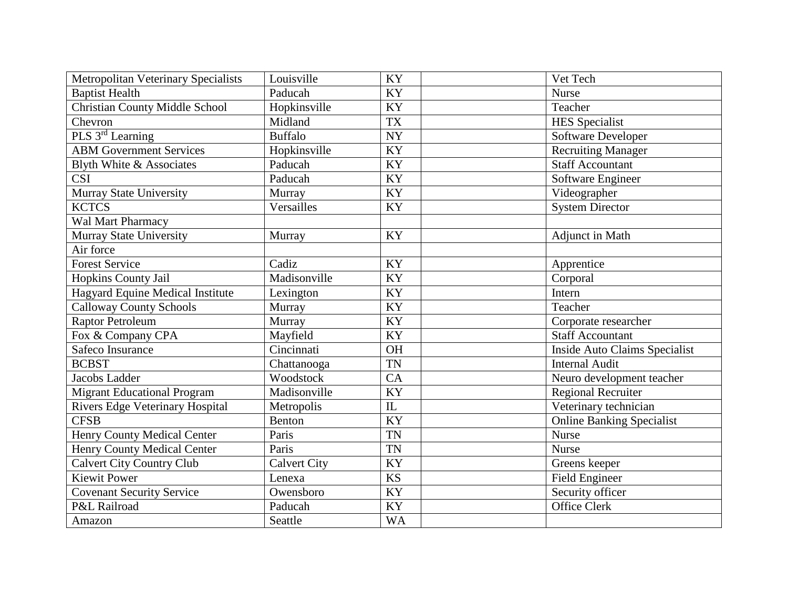| <b>Metropolitan Veterinary Specialists</b> | Louisville          | KY        | Vet Tech                             |
|--------------------------------------------|---------------------|-----------|--------------------------------------|
| <b>Baptist Health</b>                      | Paducah             | KY        | <b>Nurse</b>                         |
| <b>Christian County Middle School</b>      | Hopkinsville        | <b>KY</b> | Teacher                              |
| Chevron                                    | Midland             | <b>TX</b> | <b>HES</b> Specialist                |
| PLS 3rd Learning                           | <b>Buffalo</b>      | <b>NY</b> | Software Developer                   |
| <b>ABM Government Services</b>             | Hopkinsville        | <b>KY</b> | Recruiting Manager                   |
| Blyth White & Associates                   | Paducah             | KY        | <b>Staff Accountant</b>              |
| <b>CSI</b>                                 | Paducah             | KY        | Software Engineer                    |
| Murray State University                    | Murray              | KY        | Videographer                         |
| <b>KCTCS</b>                               | Versailles          | KY        | <b>System Director</b>               |
| Wal Mart Pharmacy                          |                     |           |                                      |
| Murray State University                    | Murray              | KY        | Adjunct in Math                      |
| Air force                                  |                     |           |                                      |
| <b>Forest Service</b>                      | Cadiz               | KY        | Apprentice                           |
| Hopkins County Jail                        | Madisonville        | KY        | Corporal                             |
| Hagyard Equine Medical Institute           | Lexington           | KY        | Intern                               |
| <b>Calloway County Schools</b>             | Murray              | KY        | Teacher                              |
| <b>Raptor Petroleum</b>                    | Murray              | KY        | Corporate researcher                 |
| Fox & Company CPA                          | Mayfield            | KY        | Staff Accountant                     |
| Safeco Insurance                           | Cincinnati          | <b>OH</b> | <b>Inside Auto Claims Specialist</b> |
| <b>BCBST</b>                               | Chattanooga         | <b>TN</b> | <b>Internal Audit</b>                |
| Jacobs Ladder                              | Woodstock           | CA        | Neuro development teacher            |
| <b>Migrant Educational Program</b>         | Madisonville        | <b>KY</b> | <b>Regional Recruiter</b>            |
| <b>Rivers Edge Veterinary Hospital</b>     | Metropolis          | $\rm IL$  | Veterinary technician                |
| <b>CFSB</b>                                | <b>Benton</b>       | KY        | <b>Online Banking Specialist</b>     |
| <b>Henry County Medical Center</b>         | Paris               | <b>TN</b> | <b>Nurse</b>                         |
| Henry County Medical Center                | Paris               | <b>TN</b> | Nurse                                |
| <b>Calvert City Country Club</b>           | <b>Calvert City</b> | KY        | Greens keeper                        |
| <b>Kiewit Power</b>                        | Lenexa              | <b>KS</b> | <b>Field Engineer</b>                |
| Covenant Security Service                  | Owensboro           | KY        | Security officer                     |
| P&L Railroad                               | Paducah             | KY        | Office Clerk                         |
| Amazon                                     | Seattle             | <b>WA</b> |                                      |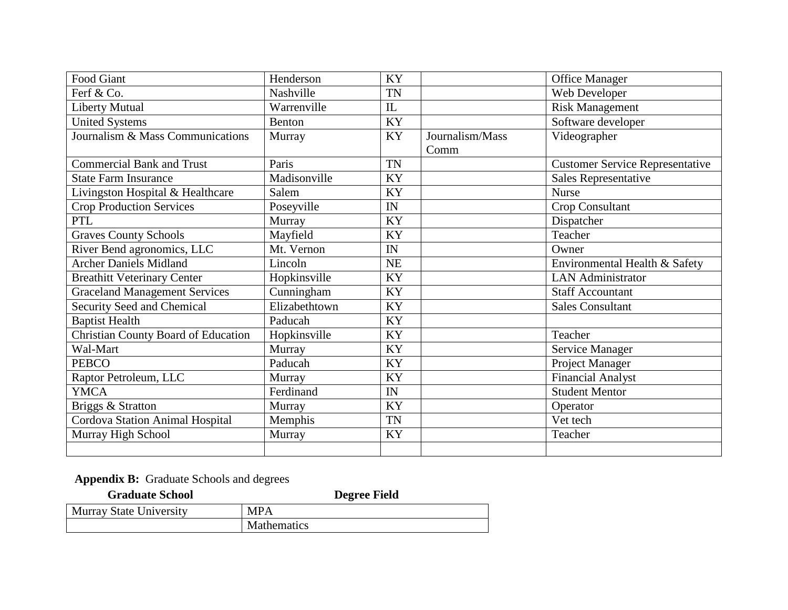| Food Giant                                 | Henderson     | KY        |                         | Office Manager                         |
|--------------------------------------------|---------------|-----------|-------------------------|----------------------------------------|
| Ferf & Co.                                 | Nashville     | <b>TN</b> |                         | Web Developer                          |
| <b>Liberty Mutual</b>                      | Warrenville   | IL        |                         | <b>Risk Management</b>                 |
| <b>United Systems</b>                      | Benton        | KY        |                         | Software developer                     |
| Journalism & Mass Communications           | Murray        | KY        | Journalism/Mass<br>Comm | Videographer                           |
| <b>Commercial Bank and Trust</b>           | Paris         | <b>TN</b> |                         | <b>Customer Service Representative</b> |
| <b>State Farm Insurance</b>                | Madisonville  | KY        |                         | Sales Representative                   |
| Livingston Hospital & Healthcare           | Salem         | KY        |                         | <b>Nurse</b>                           |
| <b>Crop Production Services</b>            | Poseyville    | IN        |                         | Crop Consultant                        |
| <b>PTL</b>                                 | Murray        | KY        |                         | Dispatcher                             |
| <b>Graves County Schools</b>               | Mayfield      | KY        |                         | Teacher                                |
| River Bend agronomics, LLC                 | Mt. Vernon    | IN        |                         | Owner                                  |
| <b>Archer Daniels Midland</b>              | Lincoln       | NE        |                         | Environmental Health & Safety          |
| <b>Breathitt Veterinary Center</b>         | Hopkinsville  | KY        |                         | <b>LAN</b> Administrator               |
| <b>Graceland Management Services</b>       | Cunningham    | KY        |                         | <b>Staff Accountant</b>                |
| Security Seed and Chemical                 | Elizabethtown | KY        |                         | <b>Sales Consultant</b>                |
| <b>Baptist Health</b>                      | Paducah       | KY        |                         |                                        |
| <b>Christian County Board of Education</b> | Hopkinsville  | KY        |                         | Teacher                                |
| Wal-Mart                                   | Murray        | KY        |                         | Service Manager                        |
| <b>PEBCO</b>                               | Paducah       | KY        |                         | Project Manager                        |
| Raptor Petroleum, LLC                      | Murray        | KY        |                         | <b>Financial Analyst</b>               |
| <b>YMCA</b>                                | Ferdinand     | IN        |                         | <b>Student Mentor</b>                  |
| Briggs & Stratton                          | Murray        | <b>KY</b> |                         | Operator                               |
| Cordova Station Animal Hospital            | Memphis       | <b>TN</b> |                         | Vet tech                               |
| Murray High School                         | Murray        | KY        |                         | Teacher                                |
|                                            |               |           |                         |                                        |

**Appendix B:** Graduate Schools and degrees

| <b>Graduate School</b>         | <b>Degree Field</b> |
|--------------------------------|---------------------|
| <b>Murray State University</b> | MPA                 |
|                                | <b>Mathematics</b>  |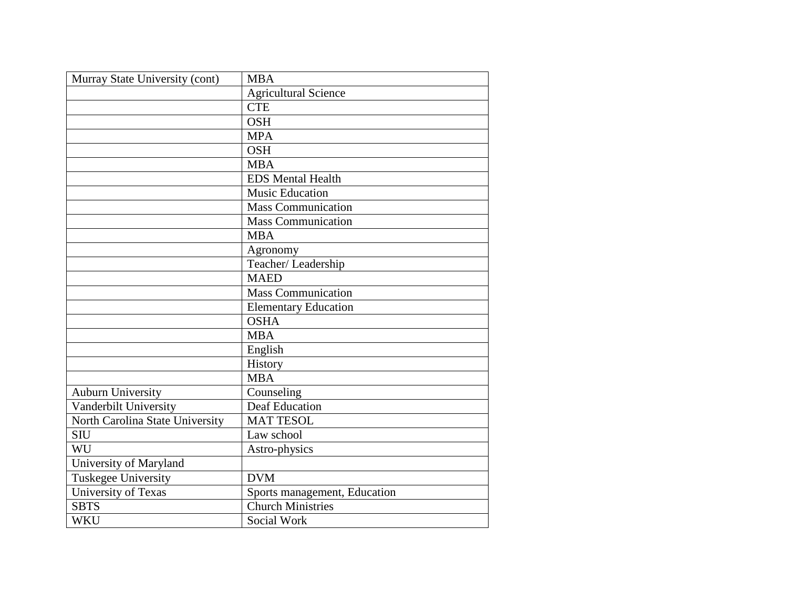| Murray State University (cont)  | <b>MBA</b>                   |
|---------------------------------|------------------------------|
|                                 | <b>Agricultural Science</b>  |
|                                 | <b>CTE</b>                   |
|                                 | <b>OSH</b>                   |
|                                 | <b>MPA</b>                   |
|                                 | <b>OSH</b>                   |
|                                 | <b>MBA</b>                   |
|                                 | <b>EDS</b> Mental Health     |
|                                 | <b>Music Education</b>       |
|                                 | <b>Mass Communication</b>    |
|                                 | <b>Mass Communication</b>    |
|                                 | <b>MBA</b>                   |
|                                 | Agronomy                     |
|                                 | Teacher/Leadership           |
|                                 | <b>MAED</b>                  |
|                                 | <b>Mass Communication</b>    |
|                                 | <b>Elementary Education</b>  |
|                                 | <b>OSHA</b>                  |
|                                 | <b>MBA</b>                   |
|                                 | English                      |
|                                 | History                      |
|                                 | <b>MBA</b>                   |
| <b>Auburn University</b>        | Counseling                   |
| Vanderbilt University           | Deaf Education               |
| North Carolina State University | <b>MAT TESOL</b>             |
| <b>SIU</b>                      | Law school                   |
| WU                              | Astro-physics                |
| University of Maryland          |                              |
| Tuskegee University             | <b>DVM</b>                   |
| University of Texas             | Sports management, Education |
| <b>SBTS</b>                     | <b>Church Ministries</b>     |
| <b>WKU</b>                      | Social Work                  |